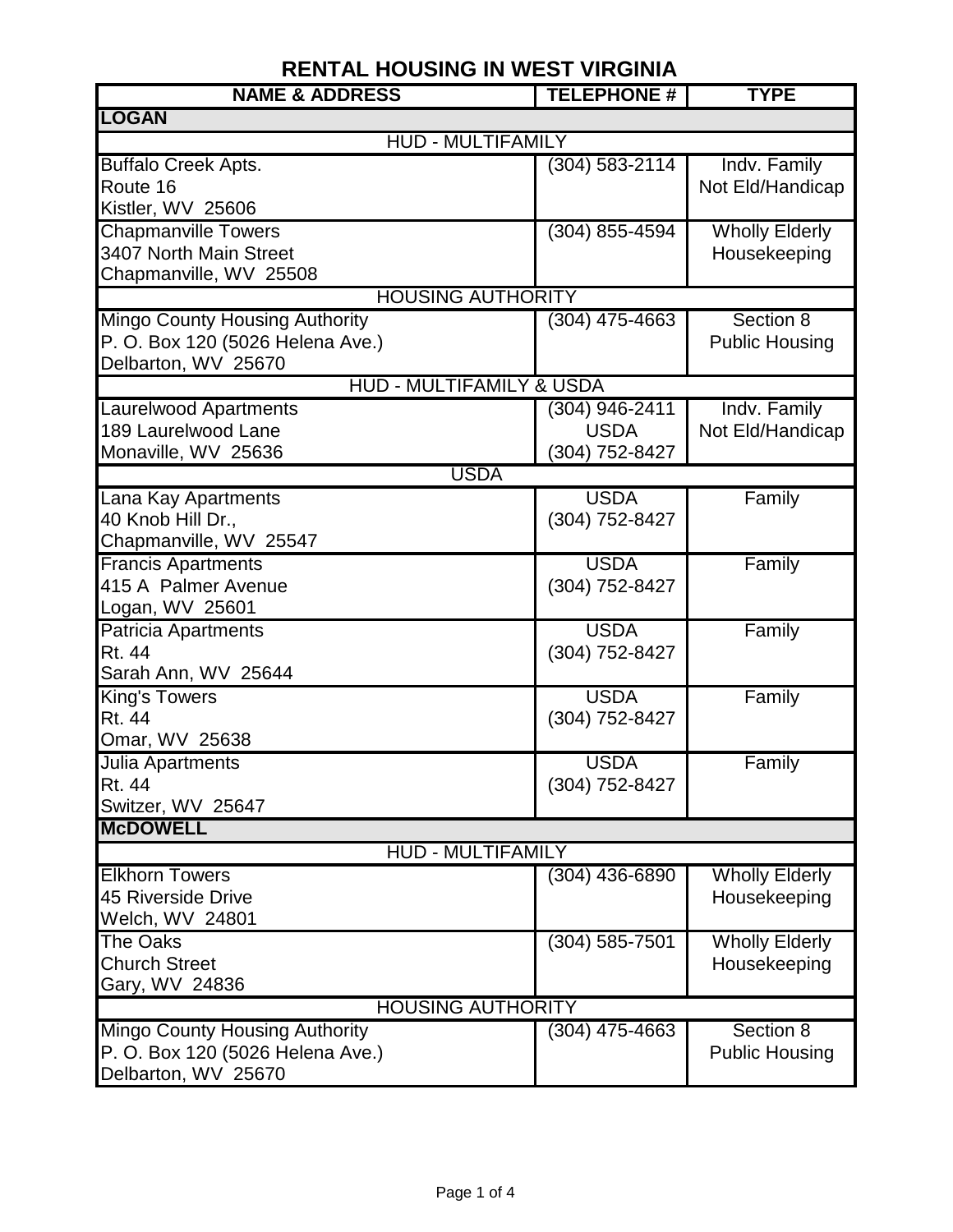| <b>NAME &amp; ADDRESS</b>                   | <b>TELEPHONE #</b> | <b>TYPE</b>           |  |  |
|---------------------------------------------|--------------------|-----------------------|--|--|
| <b>LOGAN</b>                                |                    |                       |  |  |
| <b>HUD - MULTIFAMILY</b>                    |                    |                       |  |  |
| <b>Buffalo Creek Apts.</b>                  | $(304) 583 - 2114$ | Indv. Family          |  |  |
| Route 16                                    |                    | Not Eld/Handicap      |  |  |
| Kistler, WV 25606                           |                    |                       |  |  |
| <b>Chapmanville Towers</b>                  | (304) 855-4594     | <b>Wholly Elderly</b> |  |  |
| 3407 North Main Street                      |                    | Housekeeping          |  |  |
| Chapmanville, WV 25508                      |                    |                       |  |  |
| <b>HOUSING AUTHORITY</b>                    |                    |                       |  |  |
| <b>Mingo County Housing Authority</b>       | $(304)$ 475-4663   | Section 8             |  |  |
| P. O. Box 120 (5026 Helena Ave.)            |                    | <b>Public Housing</b> |  |  |
| Delbarton, WV 25670                         |                    |                       |  |  |
| <b>HUD - MULTIFAMILY &amp; USDA</b>         |                    |                       |  |  |
| <b>Laurelwood Apartments</b>                | (304) 946-2411     | Indv. Family          |  |  |
| 189 Laurelwood Lane                         | <b>USDA</b>        | Not Eld/Handicap      |  |  |
| Monaville, WV 25636<br><b>USDA</b>          | (304) 752-8427     |                       |  |  |
|                                             |                    |                       |  |  |
| Lana Kay Apartments                         | <b>USDA</b>        | Family                |  |  |
| 40 Knob Hill Dr.,<br>Chapmanville, WV 25547 | (304) 752-8427     |                       |  |  |
| <b>Francis Apartments</b>                   | <b>USDA</b>        | Family                |  |  |
| 415 A Palmer Avenue                         | (304) 752-8427     |                       |  |  |
| Logan, WV 25601                             |                    |                       |  |  |
| <b>Patricia Apartments</b>                  | <b>USDA</b>        | Family                |  |  |
| <b>Rt. 44</b>                               | (304) 752-8427     |                       |  |  |
| Sarah Ann, WV 25644                         |                    |                       |  |  |
| <b>King's Towers</b>                        | <b>USDA</b>        | Family                |  |  |
| Rt. 44                                      | (304) 752-8427     |                       |  |  |
| Omar, WV 25638                              |                    |                       |  |  |
| Julia Apartments                            | <b>USDA</b>        | Family                |  |  |
| Rt. 44                                      | (304) 752-8427     |                       |  |  |
| Switzer, WV 25647                           |                    |                       |  |  |
| <b>McDOWELL</b>                             |                    |                       |  |  |
| <b>HUD - MULTIFAMILY</b>                    |                    |                       |  |  |
| <b>Elkhorn Towers</b>                       | (304) 436-6890     | <b>Wholly Elderly</b> |  |  |
| 45 Riverside Drive                          |                    | Housekeeping          |  |  |
| Welch, WV 24801                             |                    |                       |  |  |
| The Oaks                                    | (304) 585-7501     | <b>Wholly Elderly</b> |  |  |
| <b>Church Street</b>                        |                    | Housekeeping          |  |  |
| Gary, WV 24836                              |                    |                       |  |  |
| <b>HOUSING AUTHORITY</b>                    |                    |                       |  |  |
| <b>Mingo County Housing Authority</b>       | $(304)$ 475-4663   | Section 8             |  |  |
| P. O. Box 120 (5026 Helena Ave.)            |                    | <b>Public Housing</b> |  |  |
| Delbarton, WV 25670                         |                    |                       |  |  |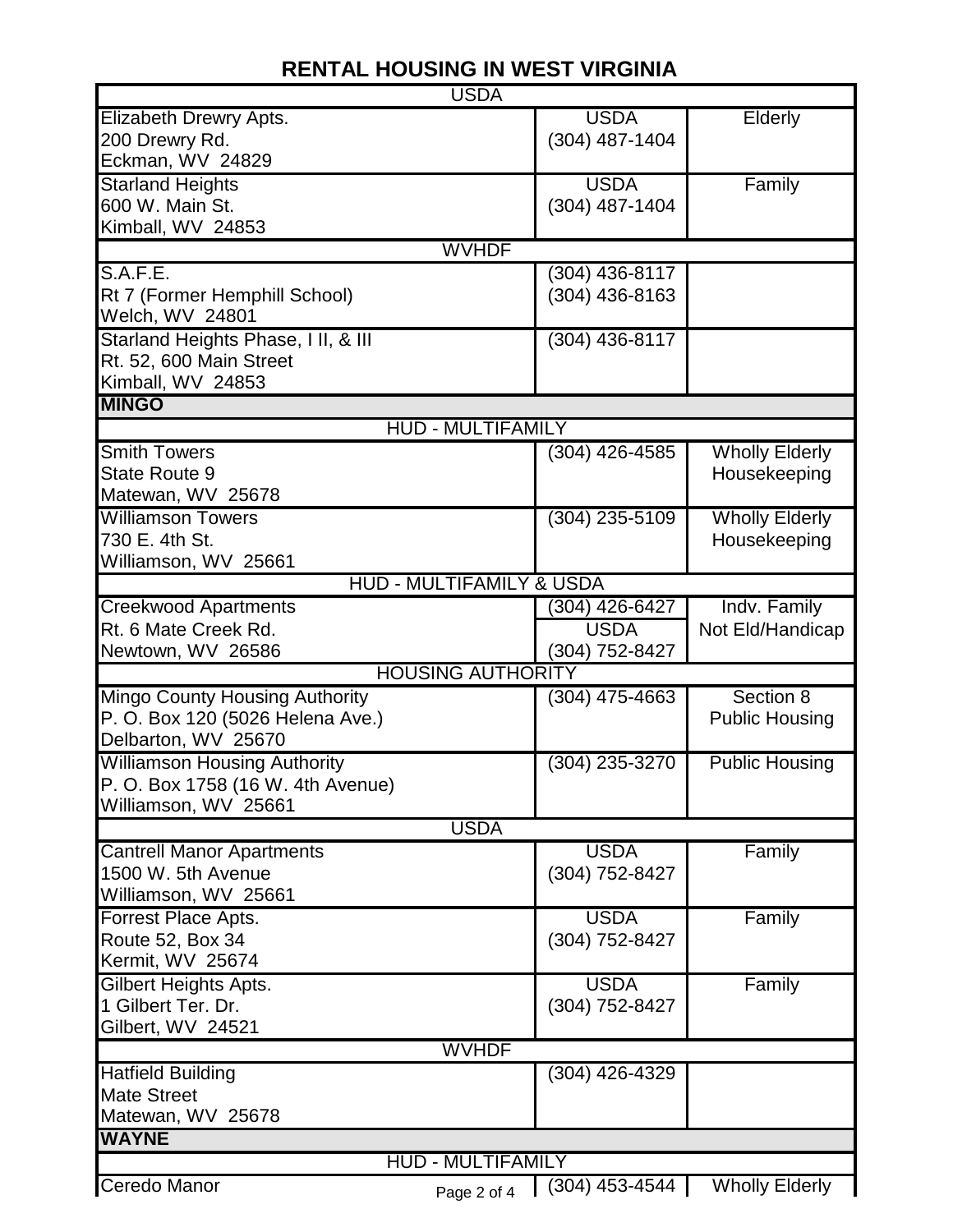| <b>USDA</b>                           |                  |                       |  |  |
|---------------------------------------|------------------|-----------------------|--|--|
| Elizabeth Drewry Apts.                | <b>USDA</b>      | Elderly               |  |  |
| 200 Drewry Rd.                        | (304) 487-1404   |                       |  |  |
| Eckman, WV 24829                      |                  |                       |  |  |
| <b>Starland Heights</b>               | <b>USDA</b>      | Family                |  |  |
| 600 W. Main St.                       | (304) 487-1404   |                       |  |  |
| Kimball, WV 24853                     |                  |                       |  |  |
| <b>WVHDF</b>                          |                  |                       |  |  |
| S.A.F.E.                              | (304) 436-8117   |                       |  |  |
| Rt 7 (Former Hemphill School)         | (304) 436-8163   |                       |  |  |
| Welch, WV 24801                       |                  |                       |  |  |
| Starland Heights Phase, I II, & III   | (304) 436-8117   |                       |  |  |
| Rt. 52, 600 Main Street               |                  |                       |  |  |
| Kimball, WV 24853                     |                  |                       |  |  |
| <b>MINGO</b>                          |                  |                       |  |  |
| <b>HUD - MULTIFAMILY</b>              |                  |                       |  |  |
| <b>Smith Towers</b>                   | $(304)$ 426-4585 | <b>Wholly Elderly</b> |  |  |
| <b>State Route 9</b>                  |                  | Housekeeping          |  |  |
| Matewan, WV 25678                     |                  |                       |  |  |
| <b>Williamson Towers</b>              | (304) 235-5109   | <b>Wholly Elderly</b> |  |  |
| 730 E. 4th St.                        |                  | Housekeeping          |  |  |
| Williamson, WV 25661                  |                  |                       |  |  |
| <b>HUD - MULTIFAMILY &amp; USDA</b>   |                  |                       |  |  |
| <b>Creekwood Apartments</b>           | (304) 426-6427   | Indv. Family          |  |  |
| Rt. 6 Mate Creek Rd.                  | <b>USDA</b>      | Not Eld/Handicap      |  |  |
| Newtown, WV 26586                     | (304) 752-8427   |                       |  |  |
| <b>HOUSING AUTHORITY</b>              |                  |                       |  |  |
| <b>Mingo County Housing Authority</b> | (304) 475-4663   | Section 8             |  |  |
| P. O. Box 120 (5026 Helena Ave.)      |                  | <b>Public Housing</b> |  |  |
| Delbarton, WV 25670                   |                  |                       |  |  |
| <b>Williamson Housing Authority</b>   | (304) 235-3270   | <b>Public Housing</b> |  |  |
| P. O. Box 1758 (16 W. 4th Avenue)     |                  |                       |  |  |
| Williamson, WV 25661                  |                  |                       |  |  |
| <b>USDA</b>                           |                  |                       |  |  |
| <b>Cantrell Manor Apartments</b>      | <b>USDA</b>      | Family                |  |  |
| 1500 W. 5th Avenue                    | (304) 752-8427   |                       |  |  |
| Williamson, WV 25661                  |                  |                       |  |  |
| Forrest Place Apts.                   | <b>USDA</b>      | Family                |  |  |
| Route 52, Box 34                      | (304) 752-8427   |                       |  |  |
| Kermit, WV 25674                      |                  |                       |  |  |
| Gilbert Heights Apts.                 | <b>USDA</b>      | Family                |  |  |
| 1 Gilbert Ter. Dr.                    | (304) 752-8427   |                       |  |  |
| Gilbert, WV 24521                     |                  |                       |  |  |
| <b>WVHDF</b>                          |                  |                       |  |  |
| <b>Hatfield Building</b>              | (304) 426-4329   |                       |  |  |
| <b>Mate Street</b>                    |                  |                       |  |  |
| Matewan, WV 25678                     |                  |                       |  |  |
| <b>WAYNE</b>                          |                  |                       |  |  |
| <b>HUD - MULTIFAMILY</b>              |                  |                       |  |  |
| Ceredo Manor                          | $(304)$ 453-4544 | <b>Wholly Elderly</b> |  |  |
| Page 2 of 4                           |                  |                       |  |  |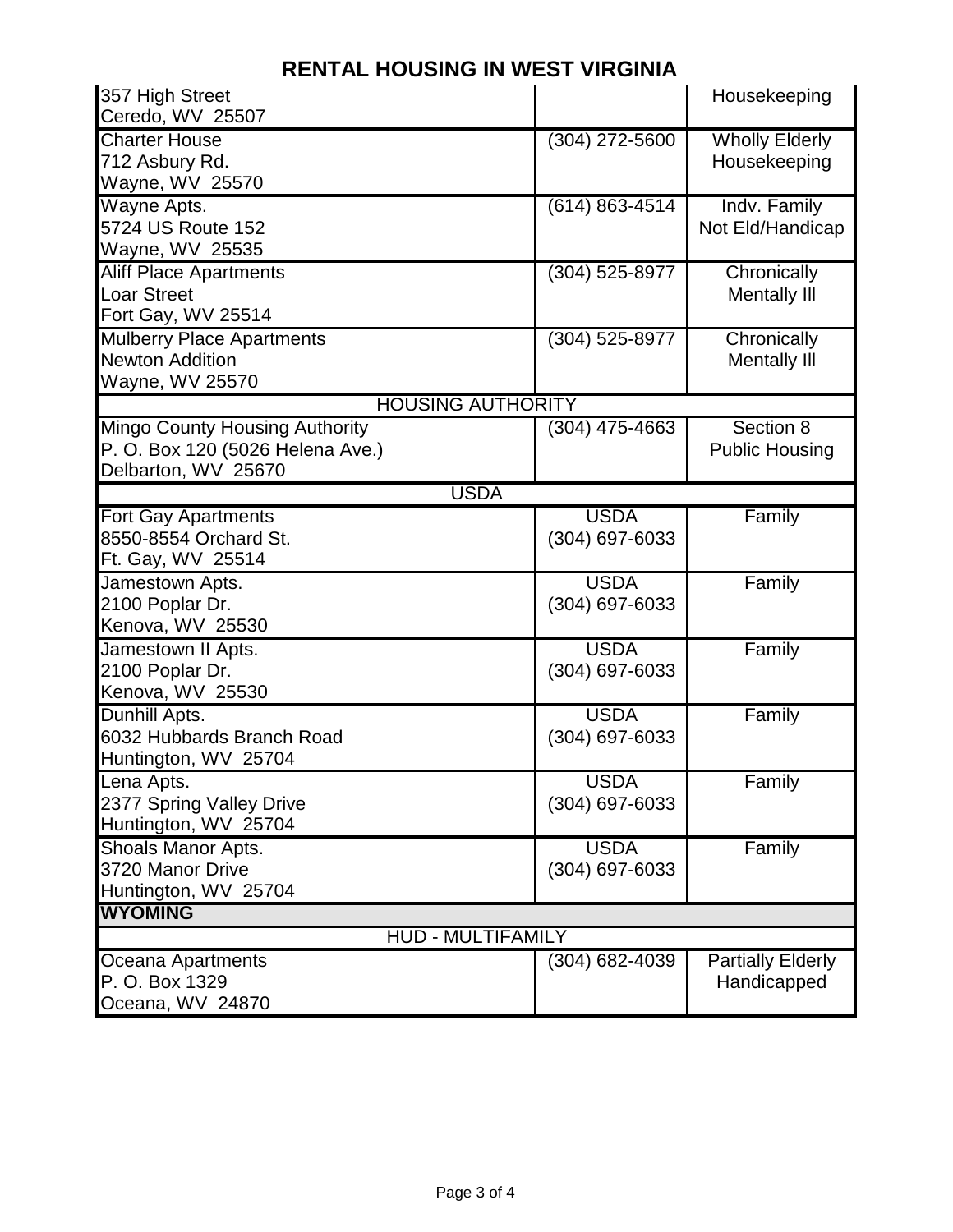| 357 High Street                       |                    | Housekeeping             |  |
|---------------------------------------|--------------------|--------------------------|--|
| Ceredo, WV 25507                      |                    |                          |  |
| <b>Charter House</b>                  | (304) 272-5600     | <b>Wholly Elderly</b>    |  |
| 712 Asbury Rd.                        |                    | Housekeeping             |  |
| Wayne, WV 25570                       |                    |                          |  |
| Wayne Apts.                           | $(614) 863 - 4514$ | Indv. Family             |  |
| 5724 US Route 152                     |                    | Not Eld/Handicap         |  |
| Wayne, WV 25535                       |                    |                          |  |
| <b>Aliff Place Apartments</b>         | (304) 525-8977     | Chronically              |  |
| <b>Loar Street</b>                    |                    | <b>Mentally III</b>      |  |
| Fort Gay, WV 25514                    |                    |                          |  |
| <b>Mulberry Place Apartments</b>      | $(304)$ 525-8977   | Chronically              |  |
| <b>Newton Addition</b>                |                    | <b>Mentally III</b>      |  |
| Wayne, WV 25570                       |                    |                          |  |
| <b>HOUSING AUTHORITY</b>              |                    |                          |  |
| <b>Mingo County Housing Authority</b> | (304) 475-4663     | Section 8                |  |
| P. O. Box 120 (5026 Helena Ave.)      |                    | <b>Public Housing</b>    |  |
| Delbarton, WV 25670                   |                    |                          |  |
| <b>USDA</b>                           |                    |                          |  |
| <b>Fort Gay Apartments</b>            | <b>USDA</b>        | Family                   |  |
| 8550-8554 Orchard St.                 | (304) 697-6033     |                          |  |
| Ft. Gay, WV 25514                     |                    |                          |  |
| Jamestown Apts.                       | <b>USDA</b>        | Family                   |  |
| 2100 Poplar Dr.                       | (304) 697-6033     |                          |  |
| Kenova, WV 25530                      |                    |                          |  |
| Jamestown II Apts.                    | <b>USDA</b>        | Family                   |  |
| 2100 Poplar Dr.                       | (304) 697-6033     |                          |  |
| Kenova, WV 25530                      |                    |                          |  |
| Dunhill Apts.                         | <b>USDA</b>        | Family                   |  |
| 6032 Hubbards Branch Road             | (304) 697-6033     |                          |  |
| Huntington, WV 25704                  |                    |                          |  |
| Lena Apts.                            | <b>USDA</b>        | Family                   |  |
| 2377 Spring Valley Drive              | (304) 697-6033     |                          |  |
| Huntington, WV 25704                  |                    |                          |  |
| Shoals Manor Apts.                    | <b>USDA</b>        | Family                   |  |
| 3720 Manor Drive                      | (304) 697-6033     |                          |  |
| Huntington, WV 25704                  |                    |                          |  |
| <b>WYOMING</b>                        |                    |                          |  |
| <b>HUD - MULTIFAMILY</b>              |                    |                          |  |
| Oceana Apartments                     | (304) 682-4039     | <b>Partially Elderly</b> |  |
| P. O. Box 1329                        |                    | Handicapped              |  |
| Oceana, WV 24870                      |                    |                          |  |